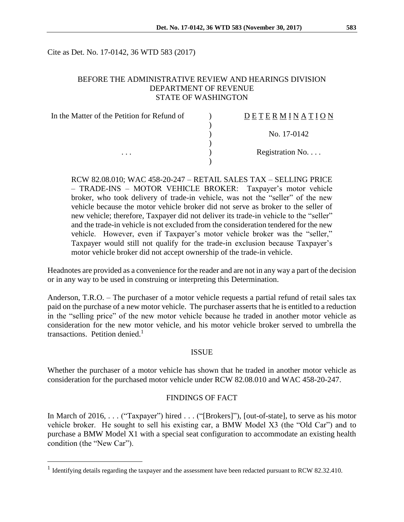Cite as Det. No. 17-0142, 36 WTD 583 (2017)

### BEFORE THE ADMINISTRATIVE REVIEW AND HEARINGS DIVISION DEPARTMENT OF REVENUE STATE OF WASHINGTON

| In the Matter of the Petition for Refund of | <b>DETERMINATION</b>     |
|---------------------------------------------|--------------------------|
|                                             |                          |
|                                             | No. 17-0142              |
|                                             |                          |
| $\cdots$                                    | Registration No. $\dots$ |
|                                             |                          |

RCW 82.08.010; WAC 458-20-247 – RETAIL SALES TAX – SELLING PRICE – TRADE-INS – MOTOR VEHICLE BROKER: Taxpayer's motor vehicle broker, who took delivery of trade-in vehicle, was not the "seller" of the new vehicle because the motor vehicle broker did not serve as broker to the seller of new vehicle; therefore, Taxpayer did not deliver its trade-in vehicle to the "seller" and the trade-in vehicle is not excluded from the consideration tendered for the new vehicle. However, even if Taxpayer's motor vehicle broker was the "seller," Taxpayer would still not qualify for the trade-in exclusion because Taxpayer's motor vehicle broker did not accept ownership of the trade-in vehicle.

Headnotes are provided as a convenience for the reader and are not in any way a part of the decision or in any way to be used in construing or interpreting this Determination.

Anderson, T.R.O. – The purchaser of a motor vehicle requests a partial refund of retail sales tax paid on the purchase of a new motor vehicle. The purchaser asserts that he is entitled to a reduction in the "selling price" of the new motor vehicle because he traded in another motor vehicle as consideration for the new motor vehicle, and his motor vehicle broker served to umbrella the transactions. Petition denied. 1

#### ISSUE

Whether the purchaser of a motor vehicle has shown that he traded in another motor vehicle as consideration for the purchased motor vehicle under RCW 82.08.010 and WAC 458-20-247.

#### FINDINGS OF FACT

In March of 2016, . . . ("Taxpayer") hired . . . ("[Brokers]"), [out-of-state], to serve as his motor vehicle broker. He sought to sell his existing car, a BMW Model X3 (the "Old Car") and to purchase a BMW Model X1 with a special seat configuration to accommodate an existing health condition (the "New Car").

 $\overline{a}$ 

<sup>&</sup>lt;sup>1</sup> Identifying details regarding the taxpayer and the assessment have been redacted pursuant to RCW 82.32.410.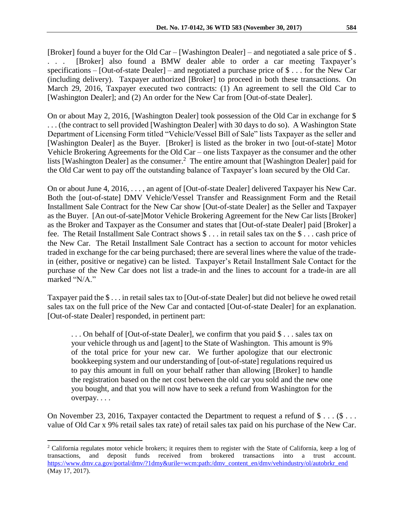[Broker] found a buyer for the Old Car – [Washington Dealer] – and negotiated a sale price of \$ . . . . [Broker] also found a BMW dealer able to order a car meeting Taxpayer's specifications – [Out-of-state Dealer] – and negotiated a purchase price of \$ . . . for the New Car (including delivery). Taxpayer authorized [Broker] to proceed in both these transactions. On March 29, 2016, Taxpayer executed two contracts: (1) An agreement to sell the Old Car to [Washington Dealer]; and (2) An order for the New Car from [Out-of-state Dealer].

On or about May 2, 2016, [Washington Dealer] took possession of the Old Car in exchange for \$ . . . (the contract to sell provided [Washington Dealer] with 30 days to do so). A Washington State Department of Licensing Form titled "Vehicle/Vessel Bill of Sale" lists Taxpayer as the seller and [Washington Dealer] as the Buyer. [Broker] is listed as the broker in two [out-of-state] Motor Vehicle Brokering Agreements for the Old Car – one lists Taxpayer as the consumer and the other lists [Washington Dealer] as the consumer.<sup>2</sup> The entire amount that [Washington Dealer] paid for the Old Car went to pay off the outstanding balance of Taxpayer's loan secured by the Old Car.

On or about June 4, 2016, . . . , an agent of [Out-of-state Dealer] delivered Taxpayer his New Car. Both the [out-of-state] DMV Vehicle/Vessel Transfer and Reassignment Form and the Retail Installment Sale Contract for the New Car show [Out-of-state Dealer] as the Seller and Taxpayer as the Buyer. [An out-of-sate]Motor Vehicle Brokering Agreement for the New Car lists [Broker] as the Broker and Taxpayer as the Consumer and states that [Out-of-state Dealer] paid [Broker] a fee. The Retail Installment Sale Contract shows \$ . . . in retail sales tax on the \$ . . . cash price of the New Car. The Retail Installment Sale Contract has a section to account for motor vehicles traded in exchange for the car being purchased; there are several lines where the value of the tradein (either, positive or negative) can be listed. Taxpayer's Retail Installment Sale Contact for the purchase of the New Car does not list a trade-in and the lines to account for a trade-in are all marked "N/A."

Taxpayer paid the \$ . . . in retail sales tax to [Out-of-state Dealer] but did not believe he owed retail sales tax on the full price of the New Car and contacted [Out-of-state Dealer] for an explanation. [Out-of-state Dealer] responded, in pertinent part:

. . . On behalf of [Out-of-state Dealer], we confirm that you paid \$ . . . sales tax on your vehicle through us and [agent] to the State of Washington. This amount is 9% of the total price for your new car. We further apologize that our electronic bookkeeping system and our understanding of [out-of-state] regulations required us to pay this amount in full on your behalf rather than allowing [Broker] to handle the registration based on the net cost between the old car you sold and the new one you bought, and that you will now have to seek a refund from Washington for the overpay. . . .

On November 23, 2016, Taxpayer contacted the Department to request a refund of \$ . . . (\$ . . . value of Old Car x 9% retail sales tax rate) of retail sales tax paid on his purchase of the New Car.

 $\overline{a}$ 

<sup>&</sup>lt;sup>2</sup> California regulates motor vehicle brokers; it requires them to register with the State of California, keep a log of transactions, and deposit funds received from brokered transactions into a trust account. [https://www.dmv.ca.gov/portal/dmv/?1dmy&urile=wcm:path:/dmv\\_content\\_en/dmv/vehindustry/ol/autobrkr\\_end](https://www.dmv.ca.gov/portal/dmv/?1dmy&urile=wcm:path:/dmv_content_en/dmv/vehindustry/ol/autobrkr_end) (May 17, 2017).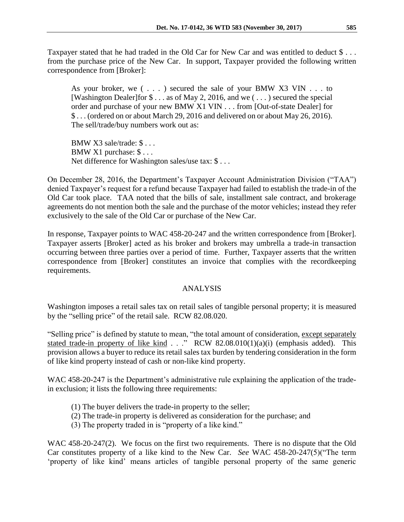Taxpayer stated that he had traded in the Old Car for New Car and was entitled to deduct \$... from the purchase price of the New Car. In support, Taxpayer provided the following written correspondence from [Broker]:

As your broker, we  $( \ldots )$  secured the sale of your BMW X3 VIN  $\ldots$  to [Washington Dealer]for \$ . . . as of May 2, 2016, and we ( . . . ) secured the special order and purchase of your new BMW X1 VIN . . . from [Out-of-state Dealer] for \$ . . . (ordered on or about March 29, 2016 and delivered on or about May 26, 2016). The sell/trade/buy numbers work out as:

BMW X3 sale/trade: \$ . . . BMW X1 purchase: \$ . . . Net difference for Washington sales/use tax: \$ . . .

On December 28, 2016, the Department's Taxpayer Account Administration Division ("TAA") denied Taxpayer's request for a refund because Taxpayer had failed to establish the trade-in of the Old Car took place. TAA noted that the bills of sale, installment sale contract, and brokerage agreements do not mention both the sale and the purchase of the motor vehicles; instead they refer exclusively to the sale of the Old Car or purchase of the New Car.

In response, Taxpayer points to WAC 458-20-247 and the written correspondence from [Broker]. Taxpayer asserts [Broker] acted as his broker and brokers may umbrella a trade-in transaction occurring between three parties over a period of time. Further, Taxpayer asserts that the written correspondence from [Broker] constitutes an invoice that complies with the recordkeeping requirements.

# ANALYSIS

Washington imposes a retail sales tax on retail sales of tangible personal property; it is measured by the "selling price" of the retail sale. RCW 82.08.020.

"Selling price" is defined by statute to mean, "the total amount of consideration, except separately stated trade-in property of like kind  $\ldots$ ." RCW 82.08.010(1)(a)(i) (emphasis added). This provision allows a buyer to reduce its retail sales tax burden by tendering consideration in the form of like kind property instead of cash or non-like kind property.

WAC 458-20-247 is the Department's administrative rule explaining the application of the tradein exclusion; it lists the following three requirements:

- (1) The buyer delivers the trade-in property to the seller;
- (2) The trade-in property is delivered as consideration for the purchase; and
- (3) The property traded in is "property of a like kind."

WAC 458-20-247(2). We focus on the first two requirements. There is no dispute that the Old Car constitutes property of a like kind to the New Car. *See* WAC 458-20-247(5)("The term 'property of like kind' means articles of tangible personal property of the same generic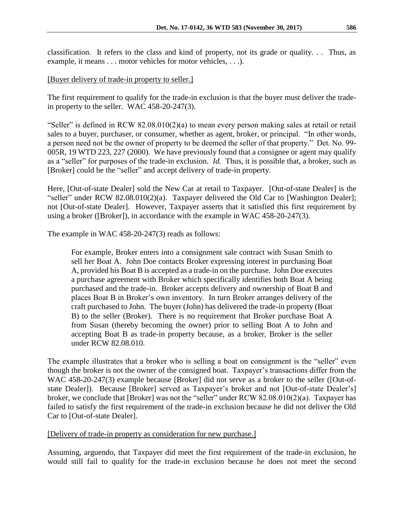classification. It refers to the class and kind of property, not its grade or quality. . . Thus, as example, it means . . . motor vehicles for motor vehicles, . . .).

## [Buyer delivery of trade-in property to seller.]

The first requirement to qualify for the trade-in exclusion is that the buyer must deliver the tradein property to the seller. WAC 458-20-247(3).

"Seller" is defined in RCW  $82.08.010(2)(a)$  to mean every person making sales at retail or retail sales to a buyer, purchaser, or consumer, whether as agent, broker, or principal. "In other words, a person need not be the owner of property to be deemed the seller of that property." Det. No. 99- 005R, 19 WTD 223, 227 (2000). We have previously found that a consignee or agent may qualify as a "seller" for purposes of the trade-in exclusion. *Id.* Thus, it is possible that, a broker, such as [Broker] could be the "seller" and accept delivery of trade-in property.

Here, [Out-of-state Dealer] sold the New Car at retail to Taxpayer. [Out-of-state Dealer] is the "seller" under RCW 82.08.010(2)(a). Taxpayer delivered the Old Car to [Washington Dealer]; not [Out-of-state Dealer]. However, Taxpayer asserts that it satisfied this first requirement by using a broker ([Broker]), in accordance with the example in WAC 458-20-247(3).

The example in WAC 458-20-247(3) reads as follows:

For example, Broker enters into a consignment sale contract with Susan Smith to sell her Boat A. John Doe contacts Broker expressing interest in purchasing Boat A, provided his Boat B is accepted as a trade-in on the purchase. John Doe executes a purchase agreement with Broker which specifically identifies both Boat A being purchased and the trade-in. Broker accepts delivery and ownership of Boat B and places Boat B in Broker's own inventory. In turn Broker arranges delivery of the craft purchased to John. The buyer (John) has delivered the trade-in property (Boat B) to the seller (Broker). There is no requirement that Broker purchase Boat A from Susan (thereby becoming the owner) prior to selling Boat A to John and accepting Boat B as trade-in property because, as a broker, Broker is the seller under RCW 82.08.010.

The example illustrates that a broker who is selling a boat on consignment is the "seller" even though the broker is not the owner of the consigned boat. Taxpayer's transactions differ from the WAC 458-20-247(3) example because [Broker] did not serve as a broker to the seller ([Out-ofstate Dealer]). Because [Broker] served as Taxpayer's broker and not [Out-of-state Dealer's] broker, we conclude that [Broker] was not the "seller" under RCW 82.08.010(2)(a). Taxpayer has failed to satisfy the first requirement of the trade-in exclusion because he did not deliver the Old Car to [Out-of-state Dealer].

### [Delivery of trade-in property as consideration for new purchase.]

Assuming, arguendo, that Taxpayer did meet the first requirement of the trade-in exclusion, he would still fail to qualify for the trade-in exclusion because he does not meet the second